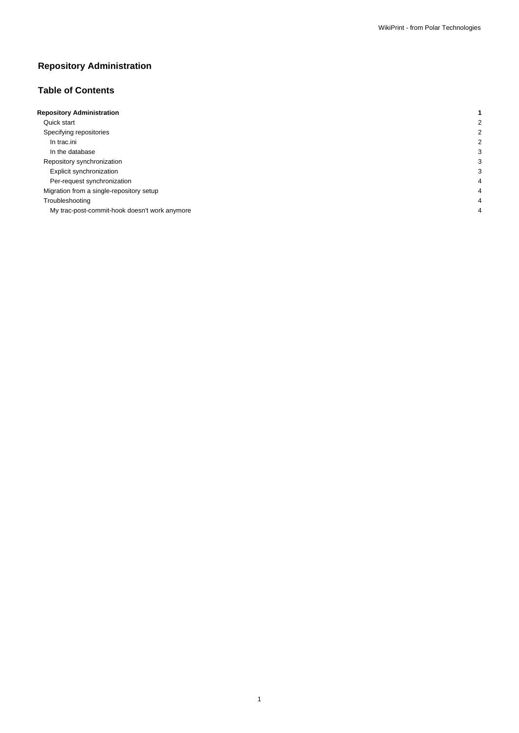# **Repository Administration**

## **Table of Contents**

| <b>Repository Administration</b>              |  |
|-----------------------------------------------|--|
| Quick start                                   |  |
| Specifying repositories                       |  |
| In trac.ini                                   |  |
| In the database                               |  |
| Repository synchronization                    |  |
| Explicit synchronization                      |  |
| Per-request synchronization                   |  |
| Migration from a single-repository setup      |  |
| Troubleshooting                               |  |
| My trac-post-commit-hook doesn't work anymore |  |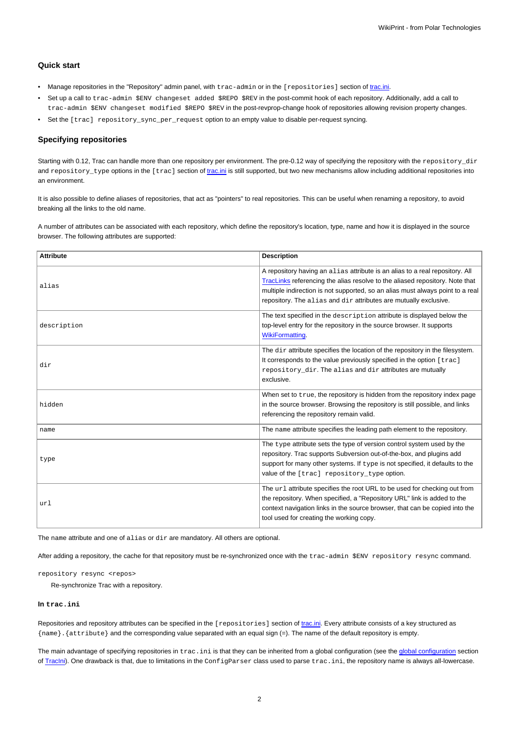## **Quick start**

- Manage repositories in the "Repository" admin panel, with trac-admin or in the [repositories] section of [trac.ini.](https://meteo.unican.es/trac/wiki/TracIni#repositories-section)
- Set up a call to trac-admin \$ENV changeset added \$REPO \$REV in the post-commit hook of each repository. Additionally, add a call to trac-admin \$ENV changeset modified \$REPO \$REV in the post-revprop-change hook of repositories allowing revision property changes.
- Set the [trac] repository\_sync\_per\_request option to an empty value to disable per-request syncing.

## **Specifying repositories**

Starting with 0.12, Trac can handle more than one repository per environment. The pre-0.12 way of specifying the repository with the repository\_dir and repository\_type options in the [trac] section of [trac.ini](https://meteo.unican.es/trac/wiki/TracIni) is still supported, but two new mechanisms allow including additional repositories into an environment.

It is also possible to define aliases of repositories, that act as "pointers" to real repositories. This can be useful when renaming a repository, to avoid breaking all the links to the old name.

A number of attributes can be associated with each repository, which define the repository's location, type, name and how it is displayed in the source browser. The following attributes are supported:

| <b>Attribute</b> | <b>Description</b>                                                                                                                                                                                                                                                                                                 |
|------------------|--------------------------------------------------------------------------------------------------------------------------------------------------------------------------------------------------------------------------------------------------------------------------------------------------------------------|
| alias            | A repository having an alias attribute is an alias to a real repository. All<br>TracLinks referencing the alias resolve to the aliased repository. Note that<br>multiple indirection is not supported, so an alias must always point to a real<br>repository. The alias and dir attributes are mutually exclusive. |
| description      | The text specified in the description attribute is displayed below the<br>top-level entry for the repository in the source browser. It supports<br>WikiFormatting.                                                                                                                                                 |
| dir              | The $\dim$ attribute specifies the location of the repository in the filesystem.<br>It corresponds to the value previously specified in the option [trac]<br>repository_dir. The alias and dir attributes are mutually<br>exclusive.                                                                               |
| hidden           | When set to true, the repository is hidden from the repository index page<br>in the source browser. Browsing the repository is still possible, and links<br>referencing the repository remain valid.                                                                                                               |
| name             | The name attribute specifies the leading path element to the repository.                                                                                                                                                                                                                                           |
| type             | The type attribute sets the type of version control system used by the<br>repository. Trac supports Subversion out-of-the-box, and plugins add<br>support for many other systems. If type is not specified, it defaults to the<br>value of the [trac] repository_type option.                                      |
| url              | The url attribute specifies the root URL to be used for checking out from<br>the repository. When specified, a "Repository URL" link is added to the<br>context navigation links in the source browser, that can be copied into the<br>tool used for creating the working copy.                                    |

The name attribute and one of alias or dir are mandatory. All others are optional.

After adding a repository, the cache for that repository must be re-synchronized once with the trac-admin \$ENV repository resync command.

repository resync <repos>

Re-synchronize Trac with a repository.

## **In trac.ini**

Repositories and repository attributes can be specified in the [repositories] section of [trac.ini.](https://meteo.unican.es/trac/wiki/TracIni#repositories-section) Every attribute consists of a key structured as {name}.{attribute} and the corresponding value separated with an equal sign (=). The name of the default repository is empty.

The main advantage of specifying repositories in trac.ini is that they can be inherited from a [global configuration](https://meteo.unican.es/trac/wiki/TracIni#GlobalConfiguration) (see the global configuration section of [TracIni\)](https://meteo.unican.es/trac/wiki/TracIni). One drawback is that, due to limitations in the ConfigParser class used to parse trac.ini, the repository name is always all-lowercase.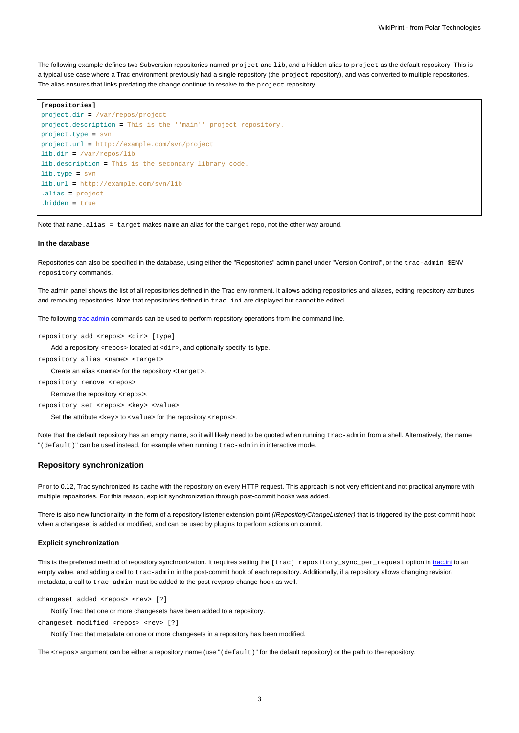The following example defines two Subversion repositories named project and lib, and a hidden alias to project as the default repository. This is a typical use case where a Trac environment previously had a single repository (the project repository), and was converted to multiple repositories. The alias ensures that links predating the change continue to resolve to the project repository.

```
[repositories]
project.dir = /var/repos/project
project.description = This is the ''main'' project repository.
project.type = svn
project.url = http://example.com/svn/project
lib.dir = /var/repos/lib
lib.description = This is the secondary library code.
lib.type = svn
lib.url = http://example.com/svn/lib
.alias = project
.hidden = true
```
Note that name.alias = target makes name an alias for the target repo, not the other way around.

## **In the database**

Repositories can also be specified in the database, using either the "Repositories" admin panel under "Version Control", or the trac-admin \$ENV repository commands.

The admin panel shows the list of all repositories defined in the Trac environment. It allows adding repositories and aliases, editing repository attributes and removing repositories. Note that repositories defined in trac.ini are displayed but cannot be edited.

The following [trac-admin](https://meteo.unican.es/trac/wiki/TracAdmin) commands can be used to perform repository operations from the command line.

```
repository add <repos> <dir> [type]
```
Add a repository <repos> located at <dir>, and optionally specify its type.

repository alias <name> <target>

Create an alias <name> for the repository <target>.

repository remove <repos>

Remove the repository <repos>.

repository set <repos> <key> <value>

Set the attribute <key> to <value> for the repository <repos>.

Note that the default repository has an empty name, so it will likely need to be quoted when running  $\text{trace}$ -admin from a shell. Alternatively, the name "(default)" can be used instead, for example when running trac-admin in interactive mode.

## **Repository synchronization**

Prior to 0.12, Trac synchronized its cache with the repository on every HTTP request. This approach is not very efficient and not practical anymore with multiple repositories. For this reason, explicit synchronization through post-commit hooks was added.

There is also new functionality in the form of a repository listener extension point (IRepositoryChangeListener) that is triggered by the post-commit hook when a changeset is added or modified, and can be used by plugins to perform actions on commit.

#### **Explicit synchronization**

This is the preferred method of repository synchronization. It requires setting the [trac] repository\_sync\_per\_request option in [trac.ini](https://meteo.unican.es/trac/wiki/TracIni#trac-section) to an empty value, and adding a call to trac-admin in the post-commit hook of each repository. Additionally, if a repository allows changing revision metadata, a call to trac-admin must be added to the post-revprop-change hook as well.

changeset added <repos> <rev> [?]

Notify Trac that one or more changesets have been added to a repository.

changeset modified <repos> <rev> [?]

Notify Trac that metadata on one or more changesets in a repository has been modified.

The <repos> argument can be either a repository name (use "(default)" for the default repository) or the path to the repository.